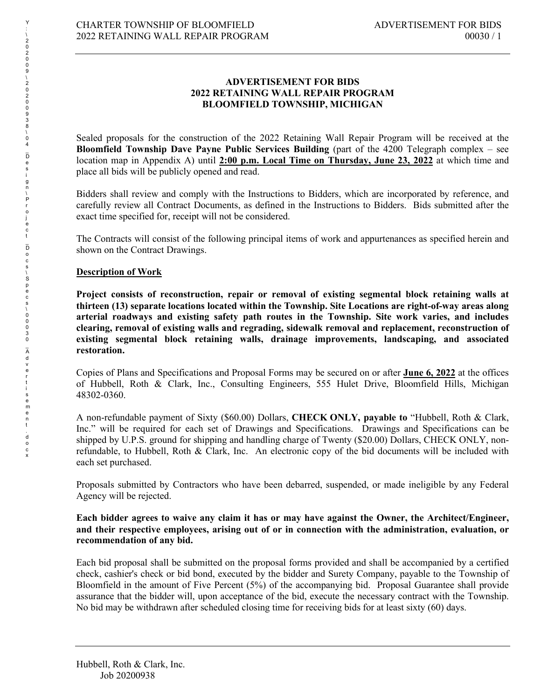## **ADVERTISEMENT FOR BIDS 2022 RETAINING WALL REPAIR PROGRAM BLOOMFIELD TOWNSHIP, MICHIGAN**

Sealed proposals for the construction of the 2022 Retaining Wall Repair Program will be received at the **Bloomfield Township Dave Payne Public Services Building** (part of the 4200 Telegraph complex – see location map in Appendix A) until **2:00 p.m. Local Time on Thursday, June 23, 2022** at which time and place all bids will be publicly opened and read.

Bidders shall review and comply with the Instructions to Bidders, which are incorporated by reference, and carefully review all Contract Documents, as defined in the Instructions to Bidders. Bids submitted after the exact time specified for, receipt will not be considered.

The Contracts will consist of the following principal items of work and appurtenances as specified herein and shown on the Contract Drawings.

## **Description of Work**

**Project consists of reconstruction, repair or removal of existing segmental block retaining walls at thirteen (13) separate locations located within the Township. Site Locations are right-of-way areas along arterial roadways and existing safety path routes in the Township. Site work varies, and includes clearing, removal of existing walls and regrading, sidewalk removal and replacement, reconstruction of existing segmental block retaining walls, drainage improvements, landscaping, and associated restoration.**

Copies of Plans and Specifications and Proposal Forms may be secured on or after **June 6, 2022** at the offices of Hubbell, Roth & Clark, Inc., Consulting Engineers, 555 Hulet Drive, Bloomfield Hills, Michigan 48302-0360.

A non-refundable payment of Sixty (\$60.00) Dollars, **CHECK ONLY, payable to** "Hubbell, Roth & Clark, Inc." will be required for each set of Drawings and Specifications. Drawings and Specifications can be shipped by U.P.S. ground for shipping and handling charge of Twenty (\$20.00) Dollars, CHECK ONLY, nonrefundable, to Hubbell, Roth & Clark, Inc. An electronic copy of the bid documents will be included with each set purchased.

Proposals submitted by Contractors who have been debarred, suspended, or made ineligible by any Federal Agency will be rejected.

## **Each bidder agrees to waive any claim it has or may have against the Owner, the Architect/Engineer, and their respective employees, arising out of or in connection with the administration, evaluation, or recommendation of any bid.**

Each bid proposal shall be submitted on the proposal forms provided and shall be accompanied by a certified check, cashier's check or bid bond, executed by the bidder and Surety Company, payable to the Township of Bloomfield in the amount of Five Percent (5%) of the accompanying bid. Proposal Guarantee shall provide assurance that the bidder will, upon acceptance of the bid, execute the necessary contract with the Township. No bid may be withdrawn after scheduled closing time for receiving bids for at least sixty (60) days.